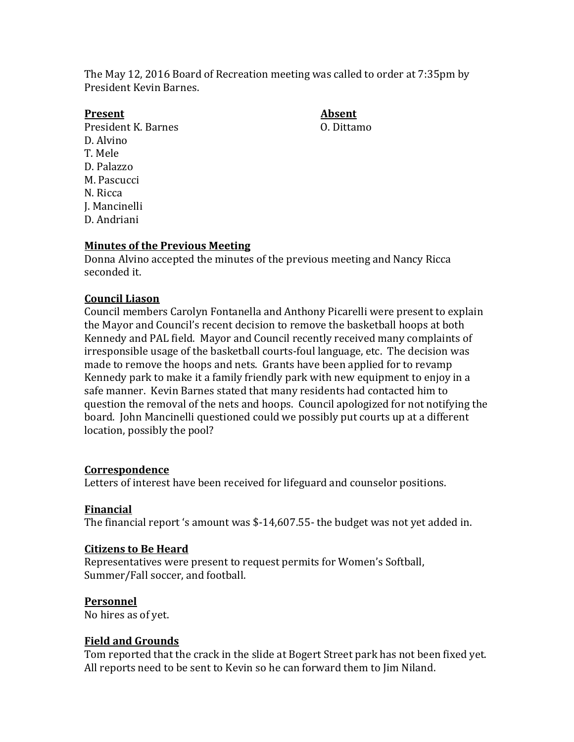The May 12, 2016 Board of Recreation meeting was called to order at 7:35pm by President Kevin Barnes.

#### **Present Absent**

President K. Barnes C. Dittamo D. Alvino T. Mele D. Palazzo M. Pascucci N. Ricca J. Mancinelli D. Andriani

## **Minutes of the Previous Meeting**

Donna Alvino accepted the minutes of the previous meeting and Nancy Ricca seconded it.

### **Council Liason**

Council members Carolyn Fontanella and Anthony Picarelli were present to explain the Mayor and Council's recent decision to remove the basketball hoops at both Kennedy and PAL field. Mayor and Council recently received many complaints of irresponsible usage of the basketball courts-foul language, etc. The decision was made to remove the hoops and nets. Grants have been applied for to revamp Kennedy park to make it a family friendly park with new equipment to enjoy in a safe manner. Kevin Barnes stated that many residents had contacted him to question the removal of the nets and hoops. Council apologized for not notifying the board. John Mancinelli questioned could we possibly put courts up at a different location, possibly the pool?

### **Correspondence**

Letters of interest have been received for lifeguard and counselor positions.

### **Financial**

The financial report 's amount was \$-14,607.55- the budget was not yet added in.

#### **Citizens to Be Heard**

Representatives were present to request permits for Women's Softball, Summer/Fall soccer, and football.

### **Personnel**

No hires as of yet.

### **Field and Grounds**

Tom reported that the crack in the slide at Bogert Street park has not been fixed yet. All reports need to be sent to Kevin so he can forward them to Jim Niland.